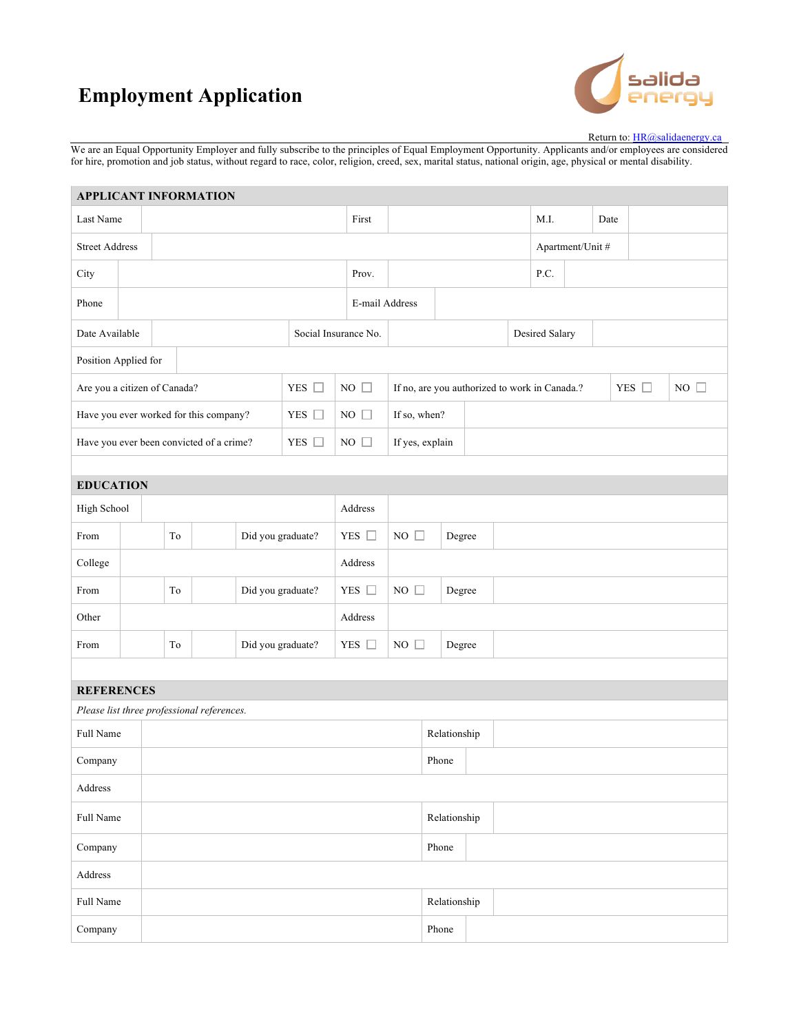## **Employment Application**



Return to: HR@salidaenergy.ca

We are an Equal Opportunity Employer and fully subscribe to the principles of Equal Employment Opportunity. Applicants and/or employees are considered for hire, promotion and job status, without regard to race, color, religion, creed, sex, marital status, national origin, age, physical or mental disability.

| <b>APPLICANT INFORMATION</b>               |             |       |    |                      |                   |             |               |                 |                                               |              |  |                |                  |      |  |            |  |              |  |  |
|--------------------------------------------|-------------|-------|----|----------------------|-------------------|-------------|---------------|-----------------|-----------------------------------------------|--------------|--|----------------|------------------|------|--|------------|--|--------------|--|--|
| Last Name                                  |             |       |    |                      |                   |             |               | First           |                                               |              |  |                |                  | M.I. |  | Date       |  |              |  |  |
| <b>Street Address</b>                      |             |       |    |                      |                   |             |               |                 |                                               |              |  |                | Apartment/Unit # |      |  |            |  |              |  |  |
| City                                       |             |       |    |                      |                   | Prov.       |               |                 |                                               |              |  | P.C.           |                  |      |  |            |  |              |  |  |
| Phone                                      |             |       |    |                      | E-mail Address    |             |               |                 |                                               |              |  |                |                  |      |  |            |  |              |  |  |
| Date Available                             |             |       |    | Social Insurance No. |                   |             |               |                 |                                               |              |  | Desired Salary |                  |      |  |            |  |              |  |  |
| Position Applied for                       |             |       |    |                      |                   |             |               |                 |                                               |              |  |                |                  |      |  |            |  |              |  |  |
| Are you a citizen of Canada?               |             |       |    |                      | YES □             | NO $\Box$   |               |                 | If no, are you authorized to work in Canada.? |              |  |                |                  |      |  | YES $\Box$ |  | NO $\square$ |  |  |
| Have you ever worked for this company?     |             |       |    |                      | YES $\Box$        | $NO \Box$   |               | If so, when?    |                                               |              |  |                |                  |      |  |            |  |              |  |  |
| Have you ever been convicted of a crime?   |             |       |    |                      | YES $\square$     | $NO$ $\Box$ |               | If yes, explain |                                               |              |  |                |                  |      |  |            |  |              |  |  |
|                                            |             |       |    |                      |                   |             |               |                 |                                               |              |  |                |                  |      |  |            |  |              |  |  |
| <b>EDUCATION</b>                           |             |       |    |                      |                   |             |               |                 |                                               |              |  |                |                  |      |  |            |  |              |  |  |
|                                            | High School |       |    | Address              |                   |             |               |                 |                                               |              |  |                |                  |      |  |            |  |              |  |  |
| From                                       |             |       | To |                      | Did you graduate? |             | YES $\Box$    |                 | $NO \square$                                  | Degree       |  |                |                  |      |  |            |  |              |  |  |
| College                                    |             |       |    |                      | Address           |             |               |                 |                                               |              |  |                |                  |      |  |            |  |              |  |  |
| From                                       |             |       | To |                      | Did you graduate? |             | YES $\square$ |                 | NO $\square$                                  | Degree       |  |                |                  |      |  |            |  |              |  |  |
| Other                                      |             |       |    |                      |                   |             | Address       |                 |                                               |              |  |                |                  |      |  |            |  |              |  |  |
| From                                       |             |       | To |                      | Did you graduate? |             | YES $\square$ |                 | $NO \Box$                                     | Degree       |  |                |                  |      |  |            |  |              |  |  |
|                                            |             |       |    |                      |                   |             |               |                 |                                               |              |  |                |                  |      |  |            |  |              |  |  |
| <b>REFERENCES</b>                          |             |       |    |                      |                   |             |               |                 |                                               |              |  |                |                  |      |  |            |  |              |  |  |
| Please list three professional references. |             |       |    |                      |                   |             |               |                 |                                               |              |  |                |                  |      |  |            |  |              |  |  |
| Full Name                                  |             |       |    |                      |                   |             |               |                 |                                               | Relationship |  |                |                  |      |  |            |  |              |  |  |
| Company                                    |             | Phone |    |                      |                   |             |               |                 |                                               |              |  |                |                  |      |  |            |  |              |  |  |
| Address                                    |             |       |    |                      |                   |             |               |                 |                                               |              |  |                |                  |      |  |            |  |              |  |  |
| Full Name                                  |             |       |    |                      |                   |             |               |                 |                                               | Relationship |  |                |                  |      |  |            |  |              |  |  |
| Company                                    |             |       |    |                      |                   |             |               |                 |                                               | Phone        |  |                |                  |      |  |            |  |              |  |  |
| Address                                    |             |       |    |                      |                   |             |               |                 |                                               |              |  |                |                  |      |  |            |  |              |  |  |
| Full Name                                  |             |       |    |                      |                   |             |               |                 |                                               | Relationship |  |                |                  |      |  |            |  |              |  |  |
| Company                                    |             |       |    |                      |                   |             |               |                 |                                               | Phone        |  |                |                  |      |  |            |  |              |  |  |